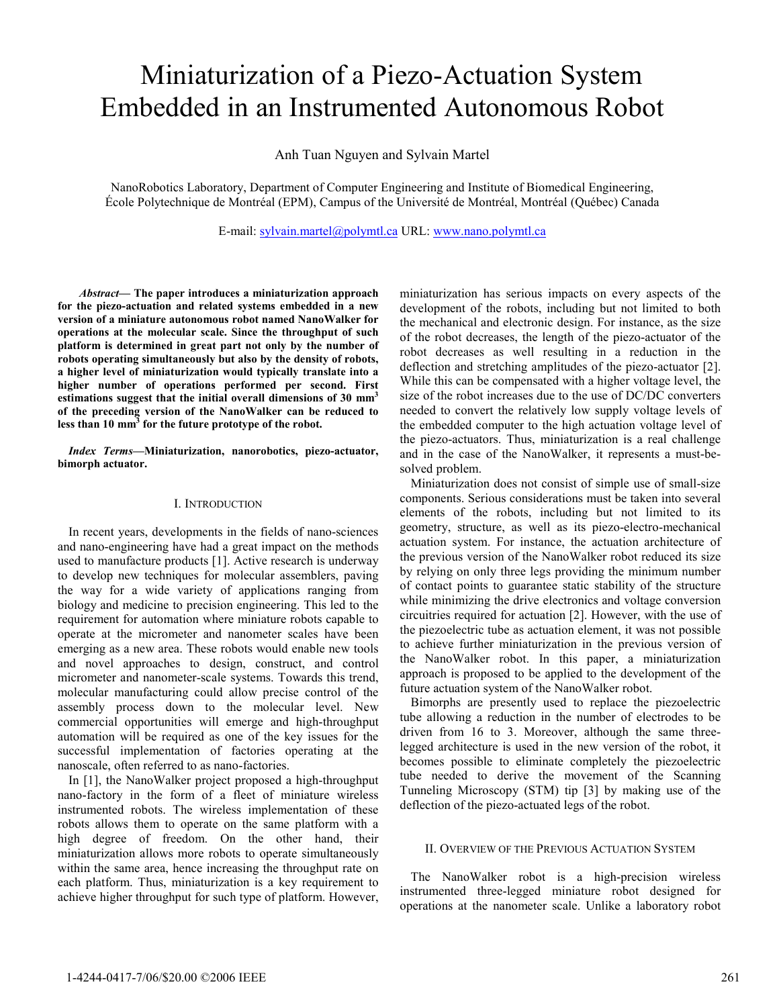# Miniaturization of a Piezo-Actuation System Embedded in an Instrumented Autonomous Robot

Anh Tuan Nguyen and Sylvain Martel

NanoRobotics Laboratory, Department of Computer Engineering and Institute of Biomedical Engineering, École Polytechnique de Montréal (EPM), Campus of the Université de Montréal, Montréal (Québec) Canada

E-mail: sylvain.martel@polymtl.ca URL: www.nano.polymtl.ca

Abstract— The paper introduces a miniaturization approach for the piezo-actuation and related systems embedded in a new version of a miniature autonomous robot named NanoWalker for operations at the molecular scale. Since the throughput of such platform is determined in great part not only by the number of robots operating simultaneously but also by the density of robots, a higher level of miniaturization would typically translate into a higher number of operations performed per second. First estimations suggest that the initial overall dimensions of  $30 \text{ mm}^3$ of the preceding version of the NanoWalker can be reduced to less than 10 mm<sup>3</sup> for the future prototype of the robot.

Index Terms—Miniaturization, nanorobotics, piezo-actuator, bimorph actuator.

# I. INTRODUCTION

In recent years, developments in the fields of nano-sciences and nano-engineering have had a great impact on the methods used to manufacture products [1]. Active research is underway to develop new techniques for molecular assemblers, paving the way for a wide variety of applications ranging from biology and medicine to precision engineering. This led to the requirement for automation where miniature robots capable to operate at the micrometer and nanometer scales have been emerging as a new area. These robots would enable new tools and novel approaches to design, construct, and control micrometer and nanometer-scale systems. Towards this trend, molecular manufacturing could allow precise control of the assembly process down to the molecular level. New commercial opportunities will emerge and high-throughput automation will be required as one of the key issues for the successful implementation of factories operating at the nanoscale, often referred to as nano-factories.

In [1], the NanoWalker project proposed a high-throughput nano-factory in the form of a fleet of miniature wireless instrumented robots. The wireless implementation of these robots allows them to operate on the same platform with a high degree of freedom. On the other hand, their miniaturization allows more robots to operate simultaneously within the same area, hence increasing the throughput rate on each platform. Thus, miniaturization is a key requirement to achieve higher throughput for such type of platform. However, miniaturization has serious impacts on every aspects of the development of the robots, including but not limited to both the mechanical and electronic design. For instance, as the size of the robot decreases, the length of the piezo-actuator of the robot decreases as well resulting in a reduction in the deflection and stretching amplitudes of the piezo-actuator [2]. While this can be compensated with a higher voltage level, the size of the robot increases due to the use of DC/DC converters needed to convert the relatively low supply voltage levels of the embedded computer to the high actuation voltage level of the piezo-actuators. Thus, miniaturization is a real challenge and in the case of the NanoWalker, it represents a must-besolved problem.

Miniaturization does not consist of simple use of small-size components. Serious considerations must be taken into several elements of the robots, including but not limited to its geometry, structure, as well as its piezo-electro-mechanical actuation system. For instance, the actuation architecture of the previous version of the NanoWalker robot reduced its size by relying on only three legs providing the minimum number of contact points to guarantee static stability of the structure while minimizing the drive electronics and voltage conversion circuitries required for actuation [2]. However, with the use of the piezoelectric tube as actuation element, it was not possible to achieve further miniaturization in the previous version of the NanoWalker robot. In this paper, a miniaturization approach is proposed to be applied to the development of the future actuation system of the NanoWalker robot.

Bimorphs are presently used to replace the piezoelectric tube allowing a reduction in the number of electrodes to be driven from 16 to 3. Moreover, although the same threelegged architecture is used in the new version of the robot, it becomes possible to eliminate completely the piezoelectric tube needed to derive the movement of the Scanning Tunneling Microscopy (STM) tip [3] by making use of the deflection of the piezo-actuated legs of the robot.

## II. OVERVIEW OF THE PREVIOUS ACTUATION SYSTEM

The NanoWalker robot is a high-precision wireless instrumented three-legged miniature robot designed for operations at the nanometer scale. Unlike a laboratory robot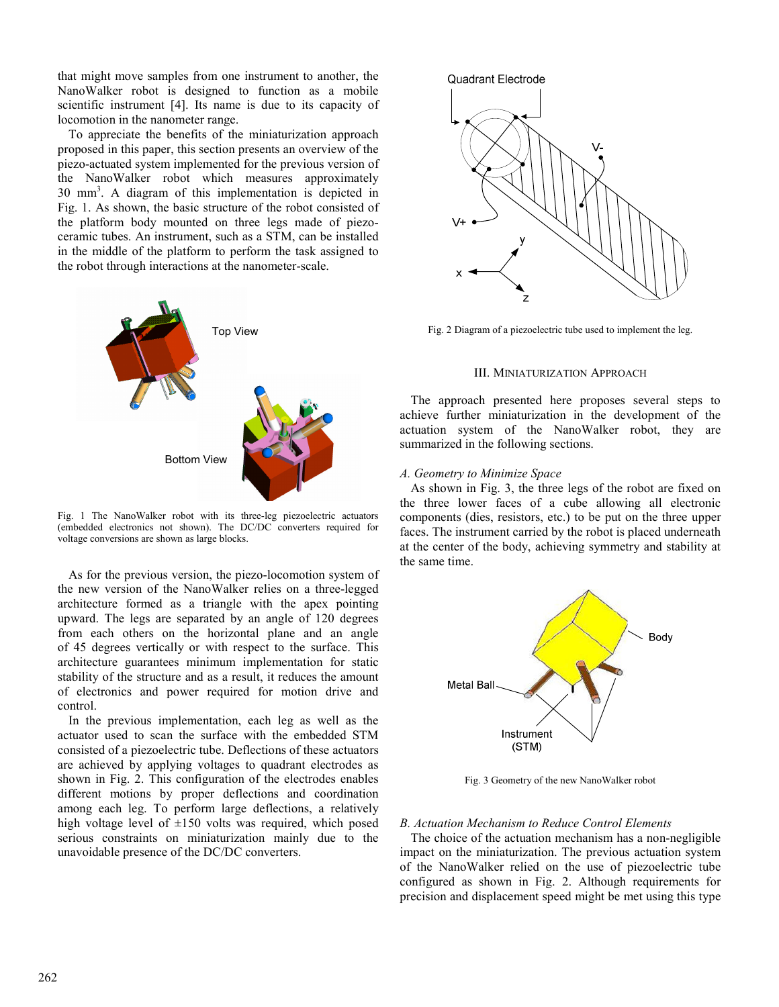that might move samples from one instrument to another, the NanoWalker robot is designed to function as a mobile scientific instrument [4]. Its name is due to its capacity of locomotion in the nanometer range.

To appreciate the benefits of the miniaturization approach proposed in this paper, this section presents an overview of the piezo-actuated system implemented for the previous version of the NanoWalker robot which measures approximately 30 mm<sup>3</sup> . A diagram of this implementation is depicted in Fig. 1. As shown, the basic structure of the robot consisted of the platform body mounted on three legs made of piezoceramic tubes. An instrument, such as a STM, can be installed in the middle of the platform to perform the task assigned to the robot through interactions at the nanometer-scale.



Fig. 1 The NanoWalker robot with its three-leg piezoelectric actuators (embedded electronics not shown). The DC/DC converters required for voltage conversions are shown as large blocks.

As for the previous version, the piezo-locomotion system of the new version of the NanoWalker relies on a three-legged architecture formed as a triangle with the apex pointing upward. The legs are separated by an angle of 120 degrees from each others on the horizontal plane and an angle of 45 degrees vertically or with respect to the surface. This architecture guarantees minimum implementation for static stability of the structure and as a result, it reduces the amount of electronics and power required for motion drive and control.

In the previous implementation, each leg as well as the actuator used to scan the surface with the embedded STM consisted of a piezoelectric tube. Deflections of these actuators are achieved by applying voltages to quadrant electrodes as shown in Fig. 2. This configuration of the electrodes enables different motions by proper deflections and coordination among each leg. To perform large deflections, a relatively high voltage level of ±150 volts was required, which posed serious constraints on miniaturization mainly due to the unavoidable presence of the DC/DC converters.





Fig. 2 Diagram of a piezoelectric tube used to implement the leg.

## III. MINIATURIZATION APPROACH

The approach presented here proposes several steps to achieve further miniaturization in the development of the actuation system of the NanoWalker robot, they are summarized in the following sections.

## A. Geometry to Minimize Space

As shown in Fig. 3, the three legs of the robot are fixed on the three lower faces of a cube allowing all electronic components (dies, resistors, etc.) to be put on the three upper faces. The instrument carried by the robot is placed underneath at the center of the body, achieving symmetry and stability at the same time.



Fig. 3 Geometry of the new NanoWalker robot

### B. Actuation Mechanism to Reduce Control Elements

The choice of the actuation mechanism has a non-negligible impact on the miniaturization. The previous actuation system of the NanoWalker relied on the use of piezoelectric tube configured as shown in Fig. 2. Although requirements for precision and displacement speed might be met using this type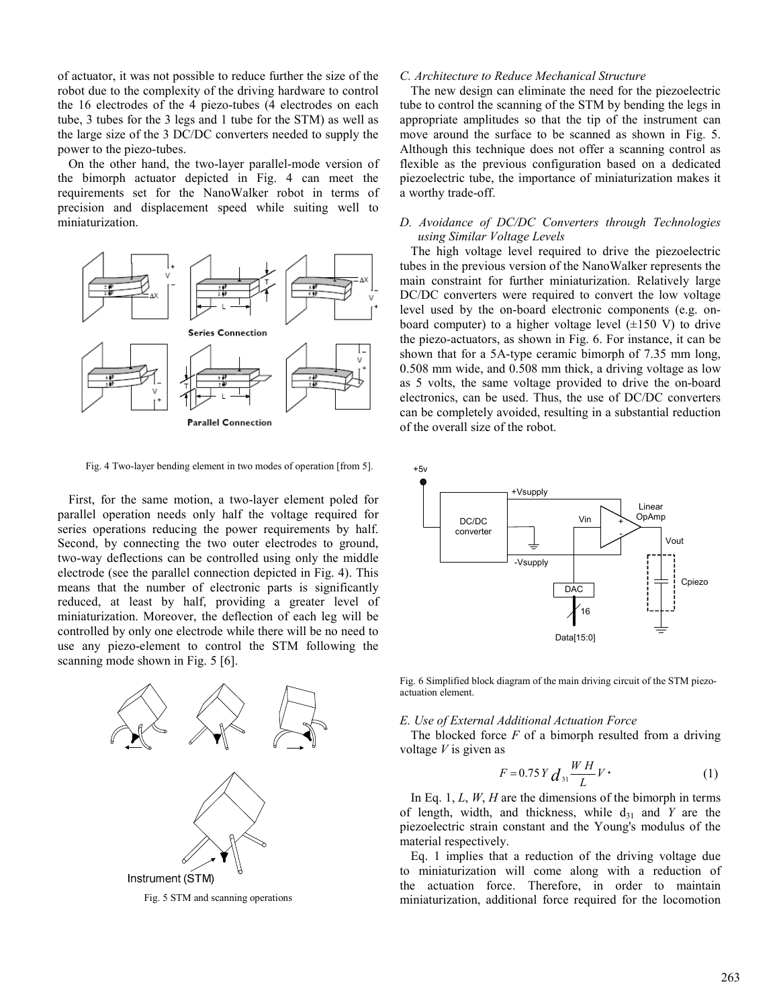of actuator, it was not possible to reduce further the size of the robot due to the complexity of the driving hardware to control the 16 electrodes of the 4 piezo-tubes (4 electrodes on each tube, 3 tubes for the 3 legs and 1 tube for the STM) as well as the large size of the 3 DC/DC converters needed to supply the power to the piezo-tubes.

On the other hand, the two-layer parallel-mode version of the bimorph actuator depicted in Fig. 4 can meet the requirements set for the NanoWalker robot in terms of precision and displacement speed while suiting well to miniaturization.



Fig. 4 Two-layer bending element in two modes of operation [from 5].

First, for the same motion, a two-layer element poled for parallel operation needs only half the voltage required for series operations reducing the power requirements by half. Second, by connecting the two outer electrodes to ground, two-way deflections can be controlled using only the middle electrode (see the parallel connection depicted in Fig. 4). This means that the number of electronic parts is significantly reduced, at least by half, providing a greater level of miniaturization. Moreover, the deflection of each leg will be controlled by only one electrode while there will be no need to use any piezo-element to control the STM following the scanning mode shown in Fig. 5 [6].



Fig. 5 STM and scanning operations

## C. Architecture to Reduce Mechanical Structure

The new design can eliminate the need for the piezoelectric tube to control the scanning of the STM by bending the legs in appropriate amplitudes so that the tip of the instrument can move around the surface to be scanned as shown in Fig. 5. Although this technique does not offer a scanning control as flexible as the previous configuration based on a dedicated piezoelectric tube, the importance of miniaturization makes it a worthy trade-off.

# D. Avoidance of DC/DC Converters through Technologies using Similar Voltage Levels

The high voltage level required to drive the piezoelectric tubes in the previous version of the NanoWalker represents the main constraint for further miniaturization. Relatively large DC/DC converters were required to convert the low voltage level used by the on-board electronic components (e.g. onboard computer) to a higher voltage level  $(\pm 150 \text{ V})$  to drive the piezo-actuators, as shown in Fig. 6. For instance, it can be shown that for a 5A-type ceramic bimorph of 7.35 mm long, 0.508 mm wide, and 0.508 mm thick, a driving voltage as low as 5 volts, the same voltage provided to drive the on-board electronics, can be used. Thus, the use of DC/DC converters can be completely avoided, resulting in a substantial reduction of the overall size of the robot.



Fig. 6 Simplified block diagram of the main driving circuit of the STM piezoactuation element.

## E. Use of External Additional Actuation Force

The blocked force  $F$  of a bimorph resulted from a driving voltage  $V$  is given as

$$
F = 0.75 Y \, d_{31} \frac{WH}{L} V \, \tag{1}
$$

In Eq. 1,  $L$ ,  $W$ ,  $H$  are the dimensions of the bimorph in terms of length, width, and thickness, while  $d_{31}$  and Y are the piezoelectric strain constant and the Young's modulus of the material respectively.

Eq. 1 implies that a reduction of the driving voltage due to miniaturization will come along with a reduction of the actuation force. Therefore, in order to maintain miniaturization, additional force required for the locomotion